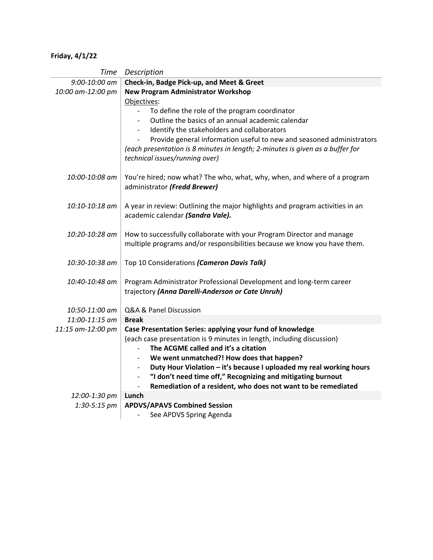## **Friday, 4/1/22**

| Time              | Description                                                                                                       |
|-------------------|-------------------------------------------------------------------------------------------------------------------|
| 9:00-10:00 am     | Check-in, Badge Pick-up, and Meet & Greet                                                                         |
| 10:00 am-12:00 pm | <b>New Program Administrator Workshop</b>                                                                         |
|                   | Objectives:                                                                                                       |
|                   | To define the role of the program coordinator                                                                     |
|                   | Outline the basics of an annual academic calendar                                                                 |
|                   | Identify the stakeholders and collaborators                                                                       |
|                   | Provide general information useful to new and seasoned administrators                                             |
|                   | (each presentation is 8 minutes in length; 2-minutes is given as a buffer for                                     |
|                   | technical issues/running over)                                                                                    |
| 10:00-10:08 am    | You're hired; now what? The who, what, why, when, and where of a program                                          |
|                   | administrator (Fredd Brewer)                                                                                      |
|                   |                                                                                                                   |
| 10:10-10:18 am    | A year in review: Outlining the major highlights and program activities in an<br>academic calendar (Sandra Vale). |
|                   |                                                                                                                   |
| 10:20-10:28 am    | How to successfully collaborate with your Program Director and manage                                             |
|                   | multiple programs and/or responsibilities because we know you have them.                                          |
|                   |                                                                                                                   |
| 10:30-10:38 am    | Top 10 Considerations (Cameron Davis Talk)                                                                        |
| 10:40-10:48 am    | Program Administrator Professional Development and long-term career                                               |
|                   | trajectory (Anna Darelli-Anderson or Cate Unruh)                                                                  |
| 10:50-11:00 am    | Q&A & Panel Discussion                                                                                            |
| 11:00-11:15 am    | <b>Break</b>                                                                                                      |
| 11:15 am-12:00 pm | Case Presentation Series: applying your fund of knowledge                                                         |
|                   | (each case presentation is 9 minutes in length, including discussion)                                             |
|                   | The ACGME called and it's a citation<br>$\overline{\phantom{a}}$                                                  |
|                   | We went unmatched?! How does that happen?<br>$\overline{\phantom{a}}$                                             |
|                   | Duty Hour Violation - it's because I uploaded my real working hours                                               |
|                   | "I don't need time off," Recognizing and mitigating burnout<br>$\overline{\phantom{a}}$                           |
|                   | Remediation of a resident, who does not want to be remediated<br>$\overline{\phantom{a}}$                         |
| 12:00-1:30 pm     | Lunch                                                                                                             |
| 1:30-5:15 pm      | <b>APDVS/APAVS Combined Session</b>                                                                               |
|                   | See APDVS Spring Agenda                                                                                           |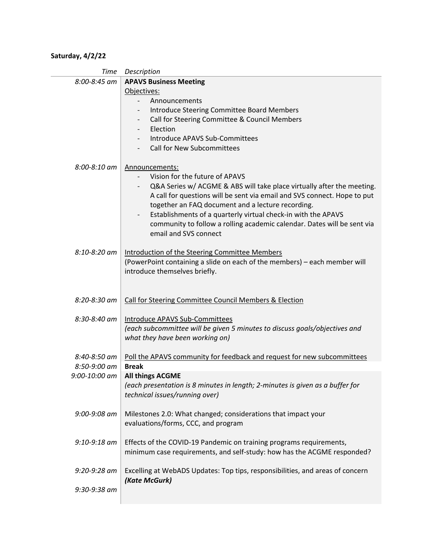## **Saturday, 4/2/22**

| Time              | Description                                                                                      |
|-------------------|--------------------------------------------------------------------------------------------------|
| 8:00-8:45 am      | <b>APAVS Business Meeting</b>                                                                    |
|                   | Objectives:                                                                                      |
|                   | Announcements<br>$\overline{\phantom{0}}$                                                        |
|                   | Introduce Steering Committee Board Members                                                       |
|                   | Call for Steering Committee & Council Members<br>$\overline{\phantom{a}}$                        |
|                   | Election<br>$\overline{\phantom{a}}$                                                             |
|                   | Introduce APAVS Sub-Committees                                                                   |
|                   | <b>Call for New Subcommittees</b>                                                                |
|                   |                                                                                                  |
| 8:00-8:10 am      | Announcements:                                                                                   |
|                   | Vision for the future of APAVS                                                                   |
|                   | Q&A Series w/ ACGME & ABS will take place virtually after the meeting.                           |
|                   | A call for questions will be sent via email and SVS connect. Hope to put                         |
|                   | together an FAQ document and a lecture recording.                                                |
|                   | Establishments of a quarterly virtual check-in with the APAVS                                    |
|                   |                                                                                                  |
|                   | community to follow a rolling academic calendar. Dates will be sent via<br>email and SVS connect |
|                   |                                                                                                  |
|                   |                                                                                                  |
| 8:10-8:20 am      | Introduction of the Steering Committee Members                                                   |
|                   | (PowerPoint containing a slide on each of the members) - each member will                        |
|                   | introduce themselves briefly.                                                                    |
|                   |                                                                                                  |
|                   |                                                                                                  |
|                   |                                                                                                  |
| 8:20-8:30 am      | Call for Steering Committee Council Members & Election                                           |
|                   |                                                                                                  |
| 8:30-8:40 am      | Introduce APAVS Sub-Committees                                                                   |
|                   | (each subcommittee will be given 5 minutes to discuss goals/objectives and                       |
|                   | what they have been working on)                                                                  |
|                   |                                                                                                  |
| 8:40-8:50 am      | Poll the APAVS community for feedback and request for new subcommittees                          |
| 8:50-9:00 am      | <b>Break</b>                                                                                     |
| $9:00 - 10:00$ am | <b>All things ACGME</b>                                                                          |
|                   | (each presentation is 8 minutes in length; 2-minutes is given as a buffer for                    |
|                   | technical issues/running over)                                                                   |
|                   |                                                                                                  |
| $9:00 - 9:08$ am  | Milestones 2.0: What changed; considerations that impact your                                    |
|                   | evaluations/forms, CCC, and program                                                              |
|                   |                                                                                                  |
| 9:10-9:18 am      | Effects of the COVID-19 Pandemic on training programs requirements,                              |
|                   | minimum case requirements, and self-study: how has the ACGME responded?                          |
|                   |                                                                                                  |
| 9:20-9:28 am      | Excelling at WebADS Updates: Top tips, responsibilities, and areas of concern                    |
|                   | (Kate McGurk)                                                                                    |
| 9:30-9:38 am      |                                                                                                  |